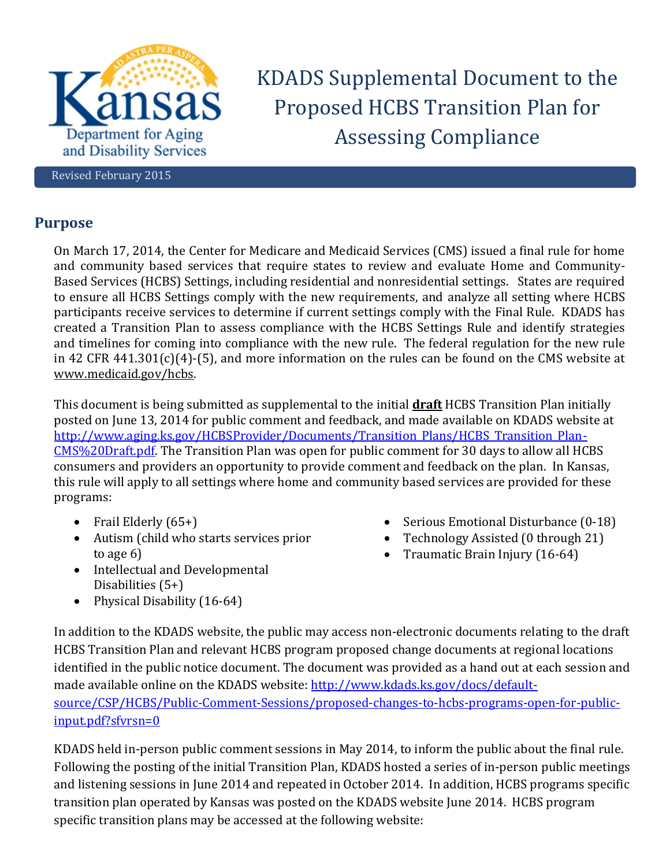

KDADS Supplemental Document to the Proposed HCBS Transition Plan for Assessing Compliance

Revised February 2015

# **Purpose**

On March 17, 2014, the Center for Medicare and Medicaid Services (CMS) issued a final rule for home and community based services that require states to review and evaluate Home and Community-Based Services (HCBS) Settings, including residential and nonresidential settings. States are required to ensure all HCBS Settings comply with the new requirements, and analyze all setting where HCBS participants receive services to determine if current settings comply with the Final Rule. KDADS has created a Transition Plan to assess compliance with the HCBS Settings Rule and identify strategies and timelines for coming into compliance with the new rule. The federal regulation for the new rule in 42 CFR 441.301(c)(4)-(5), and more information on the rules can be found on the CMS website at [www.medicaid.gov/hcbs.](http://www.medicaid.gov/hcbs)

This document is being submitted as supplemental to the initial **draft** HCBS Transition Plan initially posted on June 13, 2014 for public comment and feedback, and made available on KDADS website at [http://www.aging.ks.gov/HCBSProvider/Documents/Transition\\_Plans/HCBS\\_Transition\\_Plan-](http://www.aging.ks.gov/HCBSProvider/Documents/Transition_Plans/HCBS_Transition_Plan-CMS%20Draft.pdf)[CMS%20Draft.pdf.](http://www.aging.ks.gov/HCBSProvider/Documents/Transition_Plans/HCBS_Transition_Plan-CMS%20Draft.pdf) The Transition Plan was open for public comment for 30 days to allow all HCBS consumers and providers an opportunity to provide comment and feedback on the plan. In Kansas, this rule will apply to all settings where home and community based services are provided for these programs:

- Frail Elderly  $(65+)$
- Autism (child who starts services prior to age 6)
- Intellectual and Developmental Disabilities (5+)
- Physical Disability (16-64)
- Serious Emotional Disturbance (0-18)
- Technology Assisted (0 through 21)
- Traumatic Brain Injury (16-64)

In addition to the KDADS website, the public may access non-electronic documents relating to the draft HCBS Transition Plan and relevant HCBS program proposed change documents at regional locations identified in the public notice document. The document was provided as a hand out at each session and made available online on the KDADS website: [http://www.kdads.ks.gov/docs/default](http://www.kdads.ks.gov/docs/default-source/CSP/HCBS/Public-Comment-Sessions/proposed-changes-to-hcbs-programs-open-for-public-input.pdf?sfvrsn=0)[source/CSP/HCBS/Public-Comment-Sessions/proposed-changes-to-hcbs-programs-open-for-public](http://www.kdads.ks.gov/docs/default-source/CSP/HCBS/Public-Comment-Sessions/proposed-changes-to-hcbs-programs-open-for-public-input.pdf?sfvrsn=0)[input.pdf?sfvrsn=0](http://www.kdads.ks.gov/docs/default-source/CSP/HCBS/Public-Comment-Sessions/proposed-changes-to-hcbs-programs-open-for-public-input.pdf?sfvrsn=0) 

KDADS held in-person public comment sessions in May 2014, to inform the public about the final rule. Following the posting of the initial Transition Plan, KDADS hosted a series of in-person public meetings and listening sessions in June 2014 and repeated in October 2014. In addition, HCBS programs specific transition plan operated by Kansas was posted on the KDADS website June 2014. HCBS program specific transition plans may be accessed at the following website: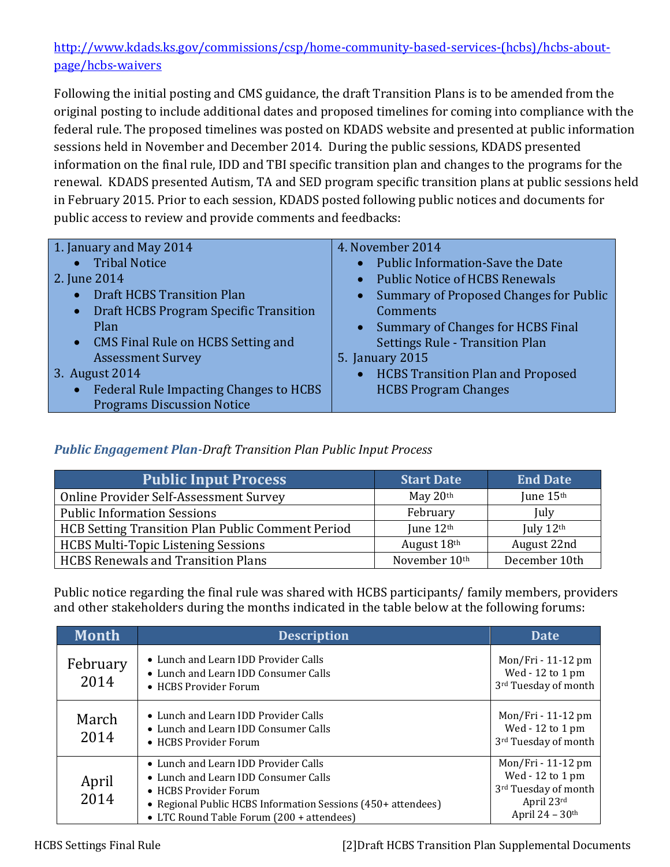# [http://www.kdads.ks.gov/commissions/csp/home-community-based-services-\(hcbs\)/hcbs-about](http://www.kdads.ks.gov/commissions/csp/home-community-based-services-(hcbs)/hcbs-about-page/hcbs-waivers)[page/hcbs-waivers](http://www.kdads.ks.gov/commissions/csp/home-community-based-services-(hcbs)/hcbs-about-page/hcbs-waivers)

Following the initial posting and CMS guidance, the draft Transition Plans is to be amended from the original posting to include additional dates and proposed timelines for coming into compliance with the federal rule. The proposed timelines was posted on KDADS website and presented at public information sessions held in November and December 2014. During the public sessions, KDADS presented information on the final rule, IDD and TBI specific transition plan and changes to the programs for the renewal. KDADS presented Autism, TA and SED program specific transition plans at public sessions held in February 2015. Prior to each session, KDADS posted following public notices and documents for public access to review and provide comments and feedbacks:

| 1. January and May 2014<br>• Tribal Notice<br>2. June 2014<br>• Draft HCBS Transition Plan<br>• Draft HCBS Program Specific Transition<br>Plan<br>• CMS Final Rule on HCBS Setting and<br><b>Assessment Survey</b> | 4. November 2014<br>• Public Information-Save the Date<br>• Public Notice of HCBS Renewals<br><b>Summary of Proposed Changes for Public</b><br>Comments<br>Summary of Changes for HCBS Final<br><b>Settings Rule - Transition Plan</b><br>5. January 2015 |
|--------------------------------------------------------------------------------------------------------------------------------------------------------------------------------------------------------------------|-----------------------------------------------------------------------------------------------------------------------------------------------------------------------------------------------------------------------------------------------------------|
| 3. August 2014                                                                                                                                                                                                     | • HCBS Transition Plan and Proposed                                                                                                                                                                                                                       |
| • Federal Rule Impacting Changes to HCBS<br><b>Programs Discussion Notice</b>                                                                                                                                      | <b>HCBS Program Changes</b>                                                                                                                                                                                                                               |

# *Public Engagement Plan-Draft Transition Plan Public Input Process*

| <b>Public Input Process</b>                       | <b>Start Date</b> | <b>End Date</b> |
|---------------------------------------------------|-------------------|-----------------|
| Online Provider Self-Assessment Survey            | May $20th$        | June 15th       |
| <b>Public Information Sessions</b>                | February          | July            |
| HCB Setting Transition Plan Public Comment Period | June 12th         | July 12th       |
| <b>HCBS Multi-Topic Listening Sessions</b>        | August 18th       | August 22nd     |
| <b>HCBS Renewals and Transition Plans</b>         | November 10th     | December 10th   |

Public notice regarding the final rule was shared with HCBS participants/ family members, providers and other stakeholders during the months indicated in the table below at the following forums:

| <b>Month</b>     | <b>Description</b>                                                                                                                                                                                                 | <b>Date</b>                                                                                                   |
|------------------|--------------------------------------------------------------------------------------------------------------------------------------------------------------------------------------------------------------------|---------------------------------------------------------------------------------------------------------------|
| February<br>2014 | • Lunch and Learn IDD Provider Calls<br>• Lunch and Learn IDD Consumer Calls<br>• HCBS Provider Forum                                                                                                              | Mon/Fri - 11-12 pm<br>Wed - 12 to 1 pm<br>3rd Tuesday of month                                                |
| March<br>2014    | • Lunch and Learn IDD Provider Calls<br>• Lunch and Learn IDD Consumer Calls<br>• HCBS Provider Forum                                                                                                              | Mon/Fri - 11-12 pm<br>Wed - 12 to 1 pm<br>3rd Tuesday of month                                                |
| April<br>2014    | • Lunch and Learn IDD Provider Calls<br>• Lunch and Learn IDD Consumer Calls<br>• HCBS Provider Forum<br>• Regional Public HCBS Information Sessions (450+ attendees)<br>• LTC Round Table Forum (200 + attendees) | Mon/Fri - 11-12 pm<br>Wed - 12 to 1 pm<br>3rd Tuesday of month<br>April 23rd<br>April $24 - 30$ <sup>th</sup> |

HCBS Settings Final Rule [2]Draft HCBS Transition Plan Supplemental Documents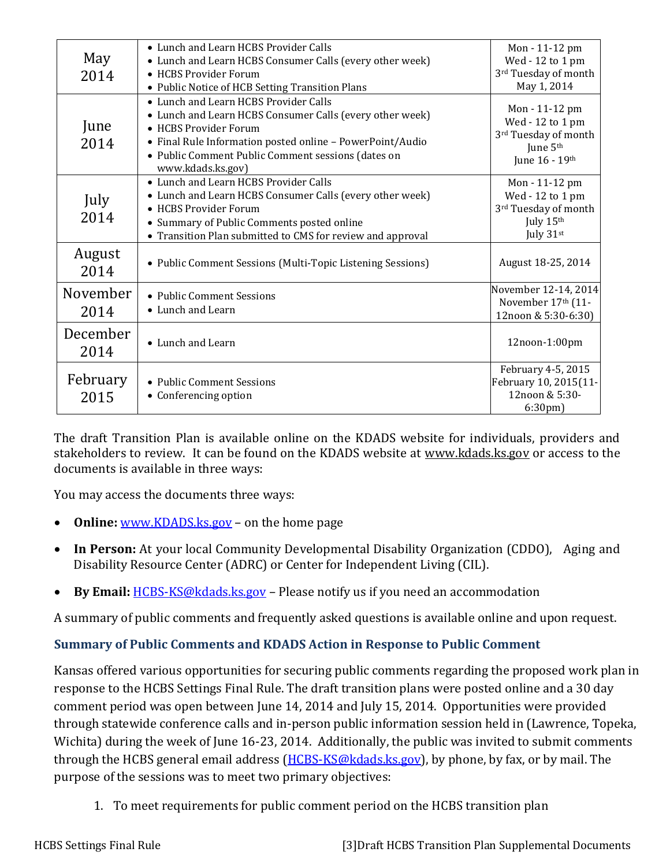| May<br>2014      | • Lunch and Learn HCBS Provider Calls<br>• Lunch and Learn HCBS Consumer Calls (every other week)<br>• HCBS Provider Forum<br>• Public Notice of HCB Setting Transition Plans                                                                                      | Mon - 11-12 pm<br>Wed - 12 to 1 pm<br>3rd Tuesday of month<br>May 1, 2014                            |
|------------------|--------------------------------------------------------------------------------------------------------------------------------------------------------------------------------------------------------------------------------------------------------------------|------------------------------------------------------------------------------------------------------|
| June<br>2014     | • Lunch and Learn HCBS Provider Calls<br>• Lunch and Learn HCBS Consumer Calls (every other week)<br>• HCBS Provider Forum<br>• Final Rule Information posted online - PowerPoint/Audio<br>• Public Comment Public Comment sessions (dates on<br>www.kdads.ks.gov) | Mon - 11-12 pm<br>Wed - 12 to 1 pm<br>3rd Tuesday of month<br>June 5 <sup>th</sup><br>June 16 - 19th |
| July<br>2014     | • Lunch and Learn HCBS Provider Calls<br>• Lunch and Learn HCBS Consumer Calls (every other week)<br>• HCBS Provider Forum<br>• Summary of Public Comments posted online<br>• Transition Plan submitted to CMS for review and approval                             | Mon - 11-12 pm<br>Wed - 12 to 1 pm<br>3rd Tuesday of month<br>July 15th<br>July $31st$               |
| August<br>2014   | • Public Comment Sessions (Multi-Topic Listening Sessions)                                                                                                                                                                                                         | August 18-25, 2014                                                                                   |
| November<br>2014 | • Public Comment Sessions<br>• Lunch and Learn                                                                                                                                                                                                                     | November 12-14, 2014<br>November 17th (11-<br>12noon & 5:30-6:30)                                    |
| December<br>2014 | • Lunch and Learn                                                                                                                                                                                                                                                  | 12noon-1:00pm                                                                                        |
| February<br>2015 | • Public Comment Sessions<br>• Conferencing option                                                                                                                                                                                                                 | February 4-5, 2015<br>February 10, 2015(11-<br>12noon & 5:30-<br>6:30 <sub>pm</sub>                  |

The draft Transition Plan is available online on the KDADS website for individuals, providers and stakeholders to review. It can be found on the KDADS website at [www.kdads.ks.gov](http://www.kdads.ks.gov/) or access to the documents is available in three ways:

You may access the documents three ways:

- **Online:** [www.KDADS.ks.gov](http://www.kdads.ks.gov/) on the home page
- **In Person:** At your local Community Developmental Disability Organization (CDDO), Aging and Disability Resource Center (ADRC) or Center for Independent Living (CIL).
- **By Email:** [HCBS-KS@kdads.ks.gov](mailto:HCBS-KS@kdads.ks.gov) Please notify us if you need an accommodation

A summary of public comments and frequently asked questions is available online and upon request.

# **Summary of Public Comments and KDADS Action in Response to Public Comment**

Kansas offered various opportunities for securing public comments regarding the proposed work plan in response to the HCBS Settings Final Rule. The draft transition plans were posted online and a 30 day comment period was open between June 14, 2014 and July 15, 2014. Opportunities were provided through statewide conference calls and in-person public information session held in (Lawrence, Topeka, Wichita) during the week of June 16-23, 2014. Additionally, the public was invited to submit comments through the HCBS general email address [\(HCBS-KS@kdads.ks.gov\)](mailto:HCBS-KS@kdads.ks.gov), by phone, by fax, or by mail. The purpose of the sessions was to meet two primary objectives:

1. To meet requirements for public comment period on the HCBS transition plan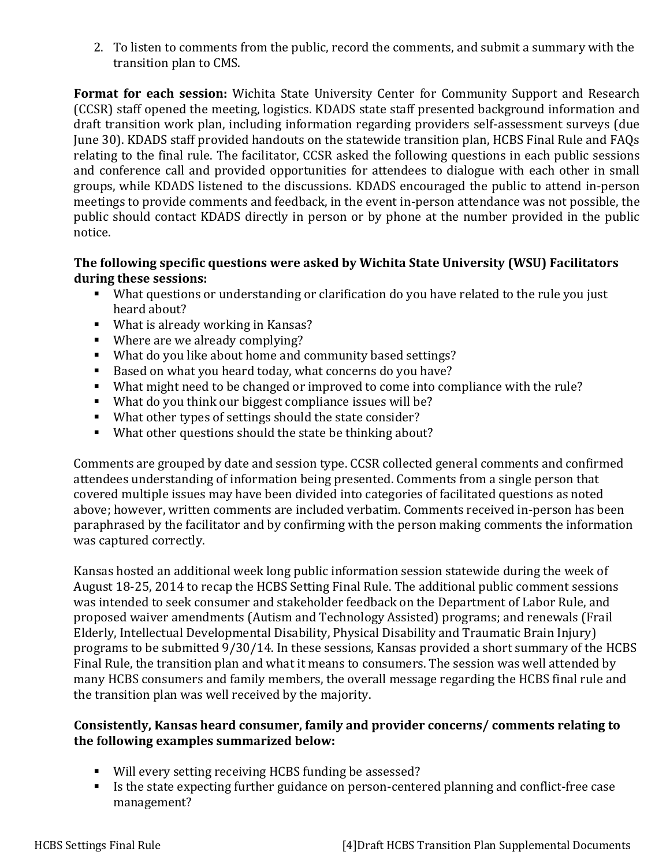2. To listen to comments from the public, record the comments, and submit a summary with the transition plan to CMS.

**Format for each session:** Wichita State University Center for Community Support and Research (CCSR) staff opened the meeting, logistics. KDADS state staff presented background information and draft transition work plan, including information regarding providers self-assessment surveys (due June 30). KDADS staff provided handouts on the statewide transition plan, HCBS Final Rule and FAQs relating to the final rule. The facilitator, CCSR asked the following questions in each public sessions and conference call and provided opportunities for attendees to dialogue with each other in small groups, while KDADS listened to the discussions. KDADS encouraged the public to attend in-person meetings to provide comments and feedback, in the event in-person attendance was not possible, the public should contact KDADS directly in person or by phone at the number provided in the public notice.

#### **The following specific questions were asked by Wichita State University (WSU) Facilitators during these sessions:**

- What questions or understanding or clarification do you have related to the rule you just heard about?
- What is already working in Kansas?
- Where are we already complying?
- What do you like about home and community based settings?
- Based on what you heard today, what concerns do you have?
- What might need to be changed or improved to come into compliance with the rule?
- What do you think our biggest compliance issues will be?
- What other types of settings should the state consider?
- What other questions should the state be thinking about?

Comments are grouped by date and session type. CCSR collected general comments and confirmed attendees understanding of information being presented. Comments from a single person that covered multiple issues may have been divided into categories of facilitated questions as noted above; however, written comments are included verbatim. Comments received in-person has been paraphrased by the facilitator and by confirming with the person making comments the information was captured correctly.

Kansas hosted an additional week long public information session statewide during the week of August 18-25, 2014 to recap the HCBS Setting Final Rule. The additional public comment sessions was intended to seek consumer and stakeholder feedback on the Department of Labor Rule, and proposed waiver amendments (Autism and Technology Assisted) programs; and renewals (Frail Elderly, Intellectual Developmental Disability, Physical Disability and Traumatic Brain Injury) programs to be submitted 9/30/14. In these sessions, Kansas provided a short summary of the HCBS Final Rule, the transition plan and what it means to consumers. The session was well attended by many HCBS consumers and family members, the overall message regarding the HCBS final rule and the transition plan was well received by the majority.

#### **Consistently, Kansas heard consumer, family and provider concerns/ comments relating to the following examples summarized below:**

- Will every setting receiving HCBS funding be assessed?
- Is the state expecting further guidance on person-centered planning and conflict-free case management?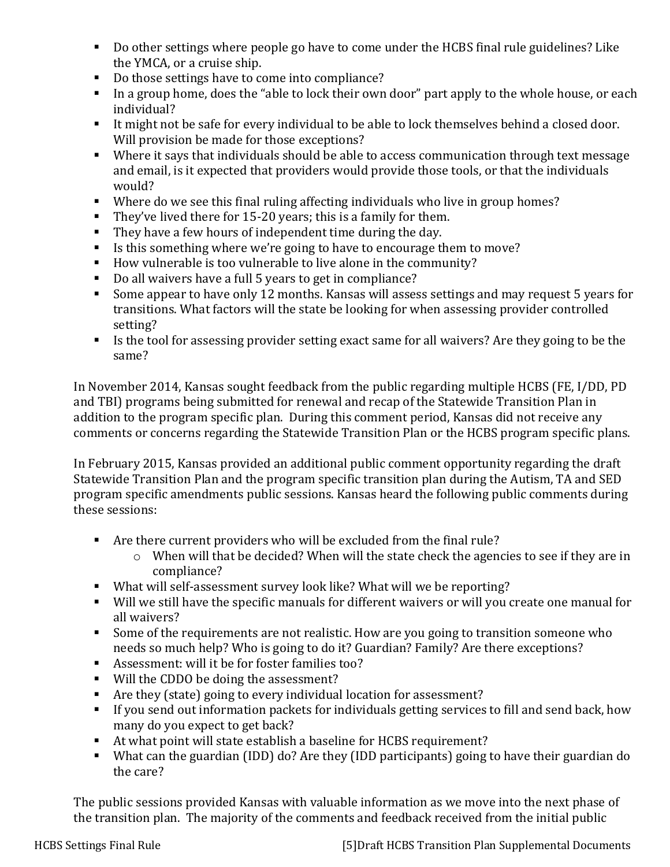- Do other settings where people go have to come under the HCBS final rule guidelines? Like the YMCA, or a cruise ship.
- Do those settings have to come into compliance?
- In a group home, does the "able to lock their own door" part apply to the whole house, or each individual?
- It might not be safe for every individual to be able to lock themselves behind a closed door. Will provision be made for those exceptions?
- Where it says that individuals should be able to access communication through text message and email, is it expected that providers would provide those tools, or that the individuals would?
- Where do we see this final ruling affecting individuals who live in group homes?
- They've lived there for 15-20 years; this is a family for them.
- They have a few hours of independent time during the day.
- Is this something where we're going to have to encourage them to move?
- How vulnerable is too vulnerable to live alone in the community?
- Do all waivers have a full 5 years to get in compliance?
- Some appear to have only 12 months. Kansas will assess settings and may request 5 years for transitions. What factors will the state be looking for when assessing provider controlled setting?
- Is the tool for assessing provider setting exact same for all waivers? Are they going to be the same?

In November 2014, Kansas sought feedback from the public regarding multiple HCBS (FE, I/DD, PD and TBI) programs being submitted for renewal and recap of the Statewide Transition Plan in addition to the program specific plan. During this comment period, Kansas did not receive any comments or concerns regarding the Statewide Transition Plan or the HCBS program specific plans.

In February 2015, Kansas provided an additional public comment opportunity regarding the draft Statewide Transition Plan and the program specific transition plan during the Autism, TA and SED program specific amendments public sessions. Kansas heard the following public comments during these sessions:

- Are there current providers who will be excluded from the final rule?
	- o When will that be decided? When will the state check the agencies to see if they are in compliance?
- What will self-assessment survey look like? What will we be reporting?
- Will we still have the specific manuals for different waivers or will you create one manual for all waivers?
- Some of the requirements are not realistic. How are you going to transition someone who needs so much help? Who is going to do it? Guardian? Family? Are there exceptions?
- Assessment: will it be for foster families too?
- Will the CDDO be doing the assessment?
- Are they (state) going to every individual location for assessment?
- If you send out information packets for individuals getting services to fill and send back, how many do you expect to get back?
- At what point will state establish a baseline for HCBS requirement?
- What can the guardian (IDD) do? Are they (IDD participants) going to have their guardian do the care?

The public sessions provided Kansas with valuable information as we move into the next phase of the transition plan. The majority of the comments and feedback received from the initial public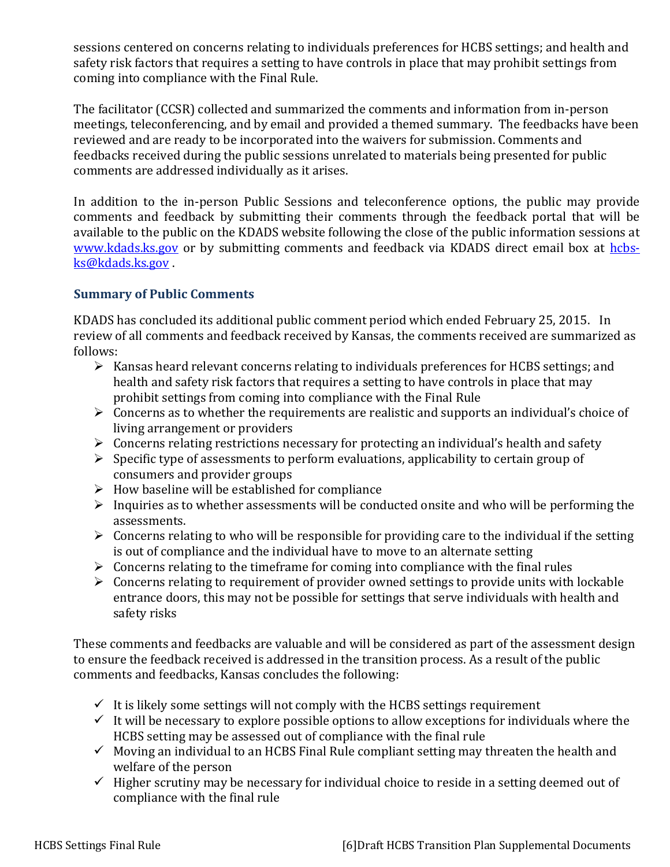sessions centered on concerns relating to individuals preferences for HCBS settings; and health and safety risk factors that requires a setting to have controls in place that may prohibit settings from coming into compliance with the Final Rule.

The facilitator (CCSR) collected and summarized the comments and information from in-person meetings, teleconferencing, and by email and provided a themed summary. The feedbacks have been reviewed and are ready to be incorporated into the waivers for submission. Comments and feedbacks received during the public sessions unrelated to materials being presented for public comments are addressed individually as it arises.

In addition to the in-person Public Sessions and teleconference options, the public may provide comments and feedback by submitting their comments through the feedback portal that will be available to the public on the KDADS website following the close of the public information sessions at [www.kdads.ks.gov](http://www.kdads.ks.gov/) or by submitting comments and feedback via KDADS direct email box at [hcbs](mailto:hcbs-ks@kdads.ks.gov)[ks@kdads.ks.gov](mailto:hcbs-ks@kdads.ks.gov) .

#### **Summary of Public Comments**

KDADS has concluded its additional public comment period which ended February 25, 2015. In review of all comments and feedback received by Kansas, the comments received are summarized as follows:

- $\triangleright$  Kansas heard relevant concerns relating to individuals preferences for HCBS settings; and health and safety risk factors that requires a setting to have controls in place that may prohibit settings from coming into compliance with the Final Rule
- $\triangleright$  Concerns as to whether the requirements are realistic and supports an individual's choice of living arrangement or providers
- $\triangleright$  Concerns relating restrictions necessary for protecting an individual's health and safety
- $\triangleright$  Specific type of assessments to perform evaluations, applicability to certain group of consumers and provider groups
- $\triangleright$  How baseline will be established for compliance
- $\triangleright$  Inquiries as to whether assessments will be conducted onsite and who will be performing the assessments.
- $\triangleright$  Concerns relating to who will be responsible for providing care to the individual if the setting is out of compliance and the individual have to move to an alternate setting
- $\triangleright$  Concerns relating to the timeframe for coming into compliance with the final rules
- $\triangleright$  Concerns relating to requirement of provider owned settings to provide units with lockable entrance doors, this may not be possible for settings that serve individuals with health and safety risks

These comments and feedbacks are valuable and will be considered as part of the assessment design to ensure the feedback received is addressed in the transition process. As a result of the public comments and feedbacks, Kansas concludes the following:

- $\checkmark$  It is likely some settings will not comply with the HCBS settings requirement
- $\checkmark$  It will be necessary to explore possible options to allow exceptions for individuals where the HCBS setting may be assessed out of compliance with the final rule
- $\checkmark$  Moving an individual to an HCBS Final Rule compliant setting may threaten the health and welfare of the person
- $\checkmark$  Higher scrutiny may be necessary for individual choice to reside in a setting deemed out of compliance with the final rule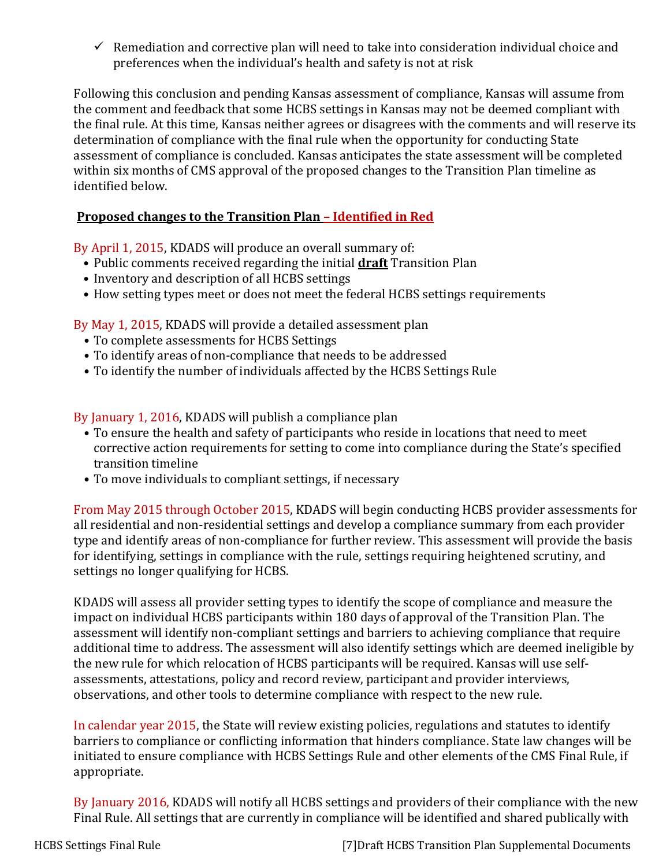$\checkmark$  Remediation and corrective plan will need to take into consideration individual choice and preferences when the individual's health and safety is not at risk

Following this conclusion and pending Kansas assessment of compliance, Kansas will assume from the comment and feedback that some HCBS settings in Kansas may not be deemed compliant with the final rule. At this time, Kansas neither agrees or disagrees with the comments and will reserve its determination of compliance with the final rule when the opportunity for conducting State assessment of compliance is concluded. Kansas anticipates the state assessment will be completed within six months of CMS approval of the proposed changes to the Transition Plan timeline as identified below.

#### **Proposed changes to the Transition Plan – Identified in Red**

By April 1, 2015, KDADS will produce an overall summary of:

- Public comments received regarding the initial **draft** Transition Plan
- Inventory and description of all HCBS settings
- How setting types meet or does not meet the federal HCBS settings requirements

By May 1, 2015, KDADS will provide a detailed assessment plan

- To complete assessments for HCBS Settings
- To identify areas of non-compliance that needs to be addressed
- To identify the number of individuals affected by the HCBS Settings Rule

By January 1, 2016, KDADS will publish a compliance plan

- To ensure the health and safety of participants who reside in locations that need to meet corrective action requirements for setting to come into compliance during the State's specified transition timeline
- To move individuals to compliant settings, if necessary

From May 2015 through October 2015, KDADS will begin conducting HCBS provider assessments for all residential and non-residential settings and develop a compliance summary from each provider type and identify areas of non-compliance for further review. This assessment will provide the basis for identifying, settings in compliance with the rule, settings requiring heightened scrutiny, and settings no longer qualifying for HCBS.

KDADS will assess all provider setting types to identify the scope of compliance and measure the impact on individual HCBS participants within 180 days of approval of the Transition Plan. The assessment will identify non-compliant settings and barriers to achieving compliance that require additional time to address. The assessment will also identify settings which are deemed ineligible by the new rule for which relocation of HCBS participants will be required. Kansas will use selfassessments, attestations, policy and record review, participant and provider interviews, observations, and other tools to determine compliance with respect to the new rule.

In calendar year 2015, the State will review existing policies, regulations and statutes to identify barriers to compliance or conflicting information that hinders compliance. State law changes will be initiated to ensure compliance with HCBS Settings Rule and other elements of the CMS Final Rule, if appropriate.

By January 2016, KDADS will notify all HCBS settings and providers of their compliance with the new Final Rule. All settings that are currently in compliance will be identified and shared publically with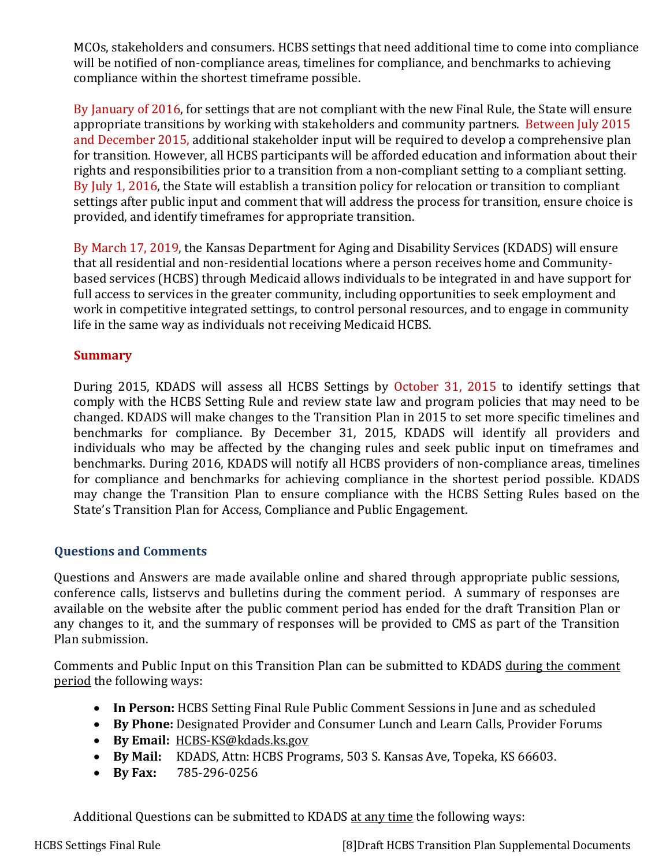MCOs, stakeholders and consumers. HCBS settings that need additional time to come into compliance will be notified of non-compliance areas, timelines for compliance, and benchmarks to achieving compliance within the shortest timeframe possible.

By January of 2016, for settings that are not compliant with the new Final Rule, the State will ensure appropriate transitions by working with stakeholders and community partners. Between July 2015 and December 2015, additional stakeholder input will be required to develop a comprehensive plan for transition. However, all HCBS participants will be afforded education and information about their rights and responsibilities prior to a transition from a non-compliant setting to a compliant setting. By July 1, 2016, the State will establish a transition policy for relocation or transition to compliant settings after public input and comment that will address the process for transition, ensure choice is provided, and identify timeframes for appropriate transition.

By March 17, 2019, the Kansas Department for Aging and Disability Services (KDADS) will ensure that all residential and non-residential locations where a person receives home and Communitybased services (HCBS) through Medicaid allows individuals to be integrated in and have support for full access to services in the greater community, including opportunities to seek employment and work in competitive integrated settings, to control personal resources, and to engage in community life in the same way as individuals not receiving Medicaid HCBS.

#### **Summary**

During 2015, KDADS will assess all HCBS Settings by October 31, 2015 to identify settings that comply with the HCBS Setting Rule and review state law and program policies that may need to be changed. KDADS will make changes to the Transition Plan in 2015 to set more specific timelines and benchmarks for compliance. By December 31, 2015, KDADS will identify all providers and individuals who may be affected by the changing rules and seek public input on timeframes and benchmarks. During 2016, KDADS will notify all HCBS providers of non-compliance areas, timelines for compliance and benchmarks for achieving compliance in the shortest period possible. KDADS may change the Transition Plan to ensure compliance with the HCBS Setting Rules based on the State's Transition Plan for Access, Compliance and Public Engagement.

# **Questions and Comments**

Questions and Answers are made available online and shared through appropriate public sessions, conference calls, listservs and bulletins during the comment period. A summary of responses are available on the website after the public comment period has ended for the draft Transition Plan or any changes to it, and the summary of responses will be provided to CMS as part of the Transition Plan submission.

Comments and Public Input on this Transition Plan can be submitted to KDADS during the comment period the following ways:

- **In Person:** HCBS Setting Final Rule Public Comment Sessions in June and as scheduled
- **By Phone:** Designated Provider and Consumer Lunch and Learn Calls, Provider Forums
- **By Email:** [HCBS-KS@kdads.ks.gov](mailto:HCBS-KS@kdads.ks.gov)
- **By Mail:** KDADS, Attn: HCBS Programs, 503 S. Kansas Ave, Topeka, KS 66603.
- **By Fax:** 785-296-0256

Additional Questions can be submitted to KDADS at any time the following ways:

HCBS Settings Final Rule [8]Draft HCBS Transition Plan Supplemental Documents